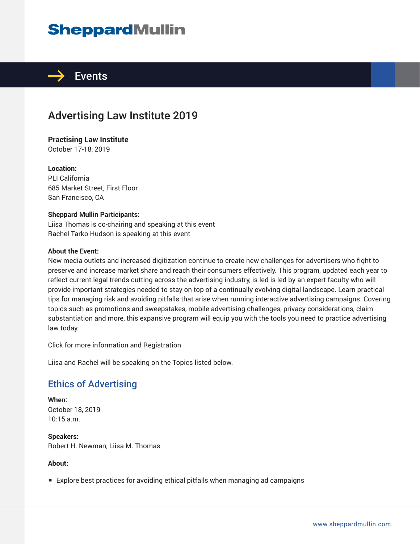## **SheppardMullin**



## Advertising Law Institute 2019

**Practising Law Institute** October 17-18, 2019

**Location:** PLI California 685 Market Street, First Floor San Francisco, CA

#### **Sheppard Mullin Participants:**

Liisa Thomas is co-chairing and speaking at this event Rachel Tarko Hudson is speaking at this event

#### **About the Event:**

New media outlets and increased digitization continue to create new challenges for advertisers who fight to preserve and increase market share and reach their consumers effectively. This program, updated each year to reflect current legal trends cutting across the advertising industry, is led is led by an expert faculty who will provide important strategies needed to stay on top of a continually evolving digital landscape. Learn practical tips for managing risk and avoiding pitfalls that arise when running interactive advertising campaigns. Covering topics such as promotions and sweepstakes, mobile advertising challenges, privacy considerations, claim substantiation and more, this expansive program will equip you with the tools you need to practice advertising law today.

Click for more information and Registration

Liisa and Rachel will be speaking on the Topics listed below.

## Ethics of Advertising

**When:** October 18, 2019 10:15 a.m.

**Speakers:** Robert H. Newman, Liisa M. Thomas

#### **About:**

■ Explore best practices for avoiding ethical pitfalls when managing ad campaigns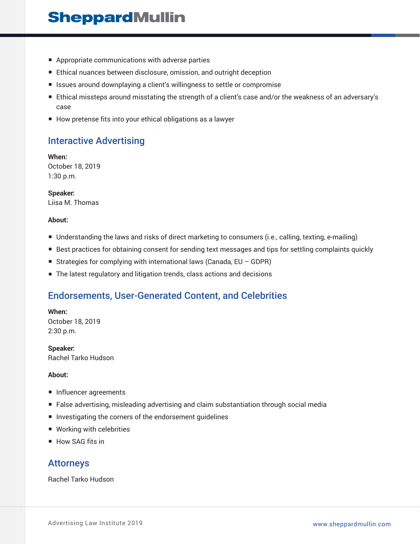## **SheppardMullin**

- Appropriate communications with adverse parties
- Ethical nuances between disclosure, omission, and outright deception
- Issues around downplaying a client's willingness to settle or compromise
- Ethical missteps around misstating the strength of a client's case and/or the weakness of an adversary's case
- How pretense fits into your ethical obligations as a lawyer

### Interactive Advertising

**When:** October 18, 2019 1:30 p.m.

**Speaker:** Liisa M. Thomas

#### **About:**

- Understanding the laws and risks of direct marketing to consumers (i.e., calling, texting, e-mailing)
- Best practices for obtaining consent for sending text messages and tips for settling complaints quickly
- Strategies for complying with international laws (Canada, EU GDPR)
- The latest regulatory and litigation trends, class actions and decisions

### Endorsements, User-Generated Content, and Celebrities

**When:**

October 18, 2019 2:30 p.m.

**Speaker:** Rachel Tarko Hudson

#### **About:**

- Influencer agreements
- False advertising, misleading advertising and claim substantiation through social media
- Investigating the corners of the endorsement guidelines
- Working with celebrities
- How SAG fits in

#### Attorneys

Rachel Tarko Hudson